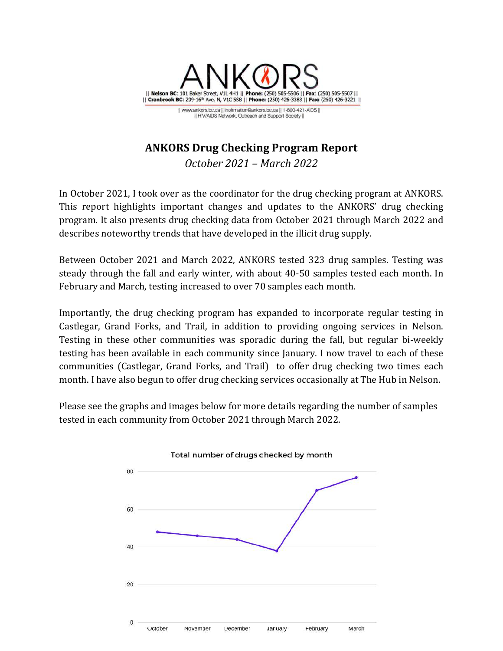

## **ANKORS Drug Checking Program Report**

*October 2021 – March 2022*

In October 2021, I took over as the coordinator for the drug checking program at ANKORS. This report highlights important changes and updates to the ANKORS' drug checking program. It also presents drug checking data from October 2021 through March 2022 and describes noteworthy trends that have developed in the illicit drug supply.

Between October 2021 and March 2022, ANKORS tested 323 drug samples. Testing was steady through the fall and early winter, with about 40-50 samples tested each month. In February and March, testing increased to over 70 samples each month.

Importantly, the drug checking program has expanded to incorporate regular testing in Castlegar, Grand Forks, and Trail, in addition to providing ongoing services in Nelson. Testing in these other communities was sporadic during the fall, but regular bi-weekly testing has been available in each community since January. I now travel to each of these communities (Castlegar, Grand Forks, and Trail) to offer drug checking two times each month. I have also begun to offer drug checking services occasionally at The Hub in Nelson.

Please see the graphs and images below for more details regarding the number of samples tested in each community from October 2021 through March 2022.

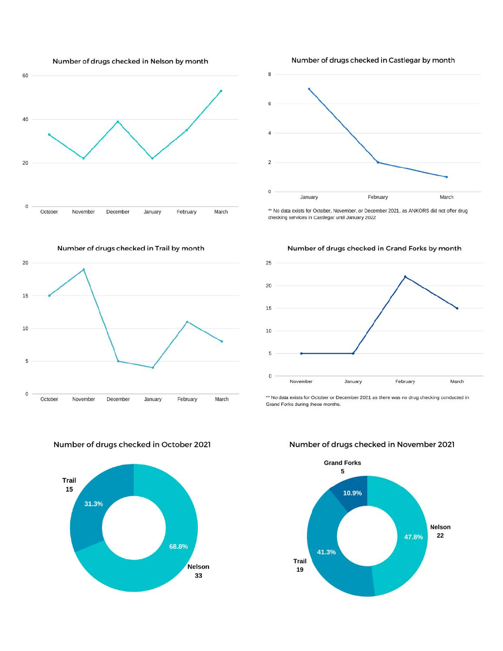



\*\* No data exists for October, November, or December 2021, as ANKORS did not offer drug checking services in Castlegar until January 2022

20 15 10 5 0 October November December January February March



Number of drugs checked in November 2021



Number of drugs checked in Grand Forks by month 25

Number of drugs checked in Castlegar by month

Number of drugs checked in October 2021 Trail 15 31.3% 68.8%

Nelson

33



\*\* No data exists for October or December 2021 as there was no drug checking conducted in

Grand Forks during these months.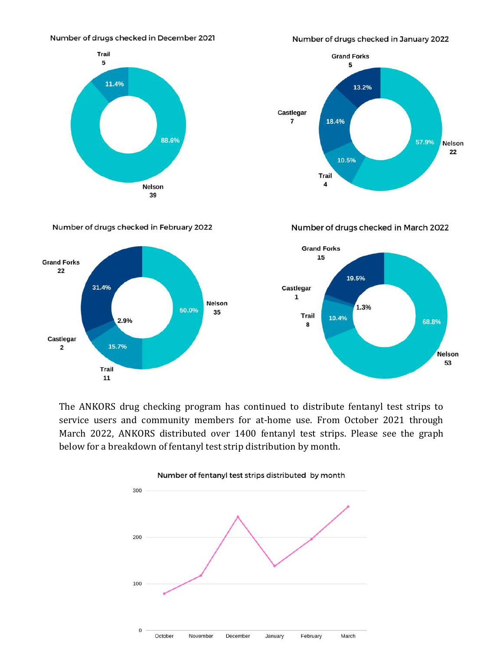## Number of drugs checked in December 2021



Number of drugs checked in January 2022



Number of drugs checked in February 2022



Number of drugs checked in March 2022



The ANKORS drug checking program has continued to distribute fentanyl test strips to service users and community members for at-home use. From October 2021 through March 2022, ANKORS distributed over 1400 fentanyl test strips. Please see the graph below for a breakdown of fentanyl test strip distribution by month.

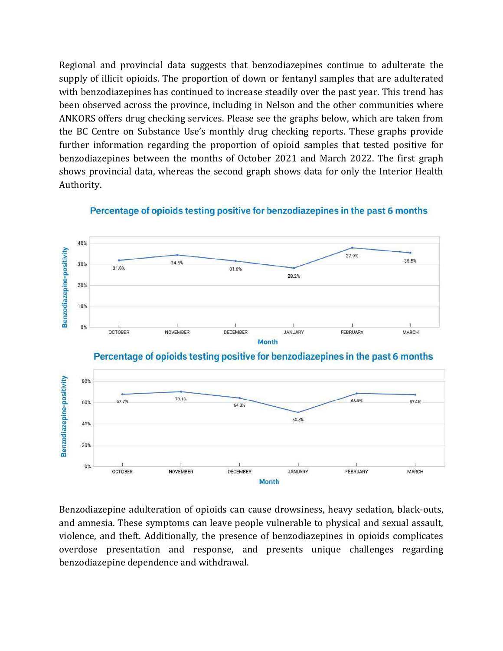Regional and provincial data suggests that benzodiazepines continue to adulterate the supply of illicit opioids. The proportion of down or fentanyl samples that are adulterated with benzodiazepines has continued to increase steadily over the past year. This trend has been observed across the province, including in Nelson and the other communities where ANKORS offers drug checking services. Please see the graphs below, which are taken from the BC Centre on Substance Use's monthly drug checking reports. These graphs provide further information regarding the proportion of opioid samples that tested positive for benzodiazepines between the months of October 2021 and March 2022. The first graph shows provincial data, whereas the second graph shows data for only the Interior Health Authority.



64.3%

DECEMBER

50.8%

JANUARY

68.5%

FEBRUARY

67.4%

MARCH

70.1%

**NOVEMBER** 

67.7%

OCTOBER

60%

40%

20%

 $0\%$ 

Percentage of opioids testing positive for benzodiazepines in the past 6 months

Benzodiazepine adulteration of opioids can cause drowsiness, heavy sedation, black-outs, and amnesia. These symptoms can leave people vulnerable to physical and sexual assault, violence, and theft. Additionally, the presence of benzodiazepines in opioids complicates overdose presentation and response, and presents unique challenges regarding benzodiazepine dependence and withdrawal.

**Month**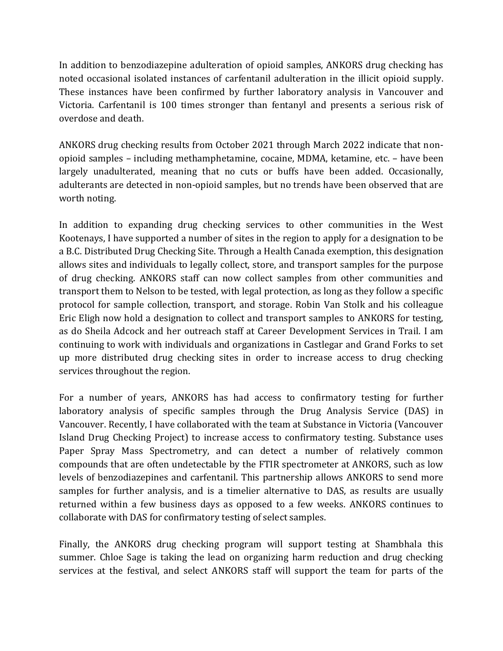In addition to benzodiazepine adulteration of opioid samples, ANKORS drug checking has noted occasional isolated instances of carfentanil adulteration in the illicit opioid supply. These instances have been confirmed by further laboratory analysis in Vancouver and Victoria. Carfentanil is 100 times stronger than fentanyl and presents a serious risk of overdose and death.

ANKORS drug checking results from October 2021 through March 2022 indicate that nonopioid samples – including methamphetamine, cocaine, MDMA, ketamine, etc. – have been largely unadulterated, meaning that no cuts or buffs have been added. Occasionally, adulterants are detected in non-opioid samples, but no trends have been observed that are worth noting.

In addition to expanding drug checking services to other communities in the West Kootenays, I have supported a number of sites in the region to apply for a designation to be a B.C. Distributed Drug Checking Site. Through a Health Canada exemption, this designation allows sites and individuals to legally collect, store, and transport samples for the purpose of drug checking. ANKORS staff can now collect samples from other communities and transport them to Nelson to be tested, with legal protection, as long as they follow a specific protocol for sample collection, transport, and storage. Robin Van Stolk and his colleague Eric Eligh now hold a designation to collect and transport samples to ANKORS for testing, as do Sheila Adcock and her outreach staff at Career Development Services in Trail. I am continuing to work with individuals and organizations in Castlegar and Grand Forks to set up more distributed drug checking sites in order to increase access to drug checking services throughout the region.

For a number of years, ANKORS has had access to confirmatory testing for further laboratory analysis of specific samples through the Drug Analysis Service (DAS) in Vancouver. Recently, I have collaborated with the team at Substance in Victoria (Vancouver Island Drug Checking Project) to increase access to confirmatory testing. Substance uses Paper Spray Mass Spectrometry, and can detect a number of relatively common compounds that are often undetectable by the FTIR spectrometer at ANKORS, such as low levels of benzodiazepines and carfentanil. This partnership allows ANKORS to send more samples for further analysis, and is a timelier alternative to DAS, as results are usually returned within a few business days as opposed to a few weeks. ANKORS continues to collaborate with DAS for confirmatory testing of select samples.

Finally, the ANKORS drug checking program will support testing at Shambhala this summer. Chloe Sage is taking the lead on organizing harm reduction and drug checking services at the festival, and select ANKORS staff will support the team for parts of the